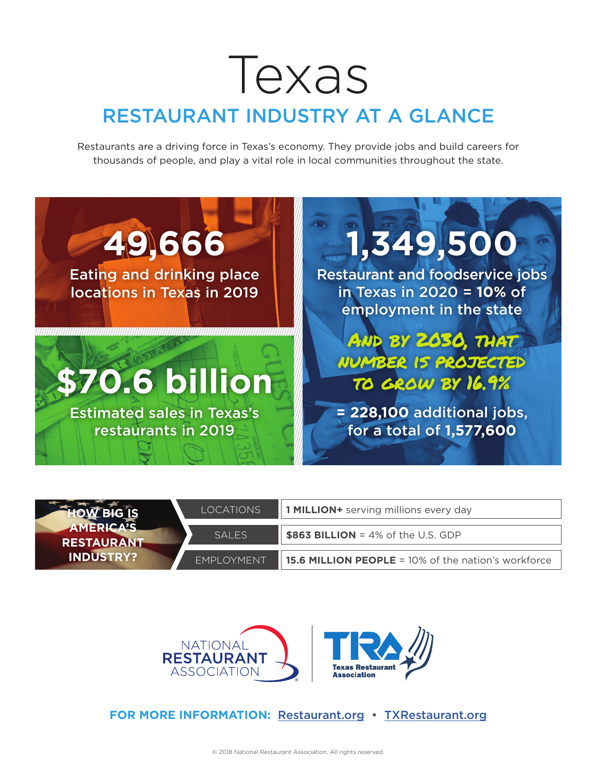## Texas RESTAURANT INDUSTRY AT A GLANCE

Restaurants are a driving force in Texas's economy. They provide jobs and build careers for thousands of people, and play a vital role in local communities throughout the state.



|                                       | LOCATIONS          | 1 <b>MILLION+</b> serving millions every day               |  |  |
|---------------------------------------|--------------------|------------------------------------------------------------|--|--|
| <b>AMERICA'S</b><br><b>RESTAURANT</b> | SAI FS             | $\frac{1}{2}$ \$863 BILLION = 4% of the U.S. GDP           |  |  |
| <b>INDUSTRY?</b>                      | <b>FMPI OYMENT</b> | <b>15.6 MILLION PEOPLE = 10% of the nation's workforce</b> |  |  |



**FOR MORE INFORMATION:** Restaurant.org • TXRestaurant.org